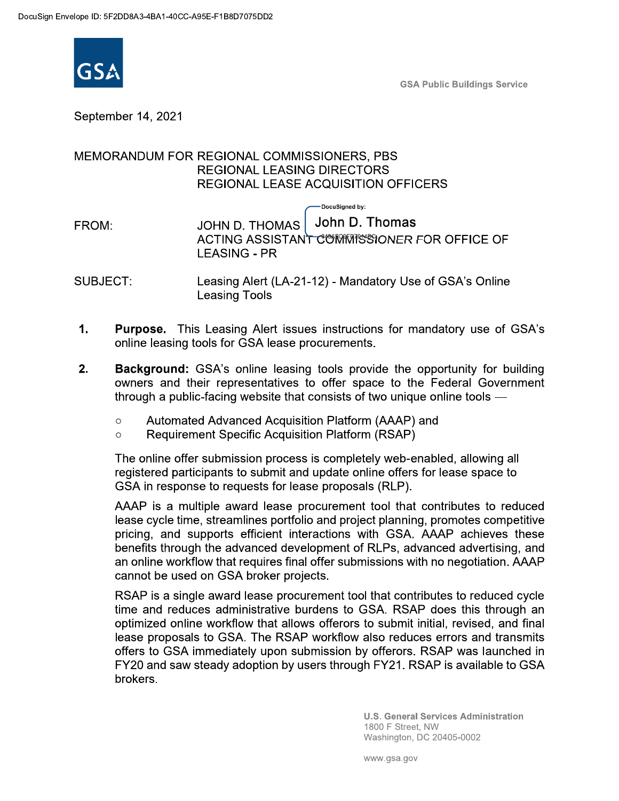

**GSA Public Buildings Service** 

September 14, 2021

### MEMORANDUM FOR REGIONAL COMMISSIONERS, PBS **REGIONAL LEASING DIRECTORS** REGIONAL LEASE ACQUISITION OFFICERS

DocuSigned by: John D. Thomas **JOHN D. THOMAS** FROM: ACTING ASSISTANT COMMISSIONER FOR OFFICE OF **LEASING - PR** 

- SUBJECT: Leasing Alert (LA-21-12) - Mandatory Use of GSA's Online **Leasing Tools**
- $1.$ **Purpose.** This Leasing Alert issues instructions for mandatory use of GSA's online leasing tools for GSA lease procurements.
- $2.$ **Background:** GSA's online leasing tools provide the opportunity for building owners and their representatives to offer space to the Federal Government through a public-facing website that consists of two unique online tools —
	- Automated Advanced Acquisition Platform (AAAP) and  $\circ$
	- **Requirement Specific Acquisition Platform (RSAP)**  $\circ$

The online offer submission process is completely web-enabled, allowing all registered participants to submit and update online offers for lease space to GSA in response to requests for lease proposals (RLP).

AAAP is a multiple award lease procurement tool that contributes to reduced lease cycle time, streamlines portfolio and project planning, promotes competitive pricing, and supports efficient interactions with GSA. AAAP achieves these benefits through the advanced development of RLPs, advanced advertising, and an online workflow that requires final offer submissions with no negotiation. AAAP cannot be used on GSA broker projects.

RSAP is a single award lease procurement tool that contributes to reduced cycle time and reduces administrative burdens to GSA. RSAP does this through an optimized online workflow that allows offerors to submit initial, revised, and final lease proposals to GSA. The RSAP workflow also reduces errors and transmits offers to GSA immediately upon submission by offerors. RSAP was launched in FY20 and saw steady adoption by users through FY21. RSAP is available to GSA brokers.

> **U.S. General Services Administration** 1800 F Street, NW Washington, DC 20405-0002

www.gsa.gov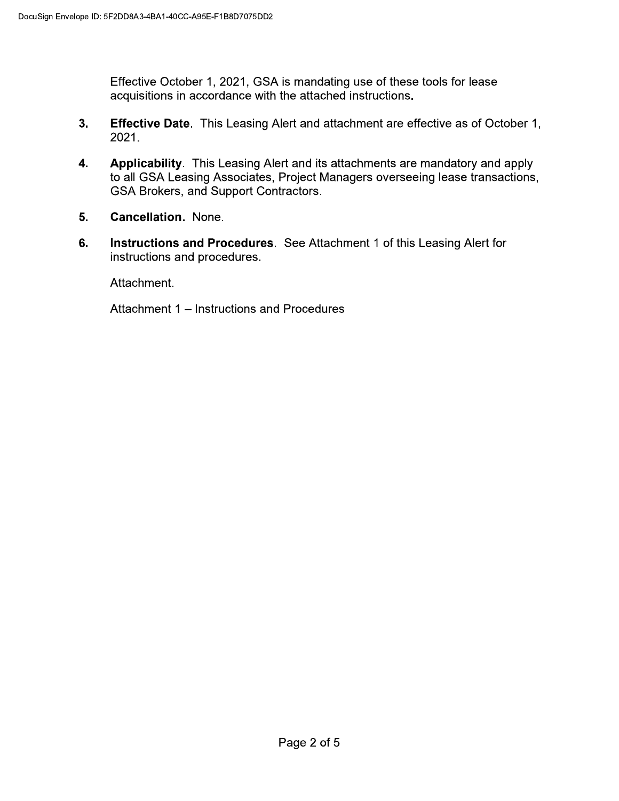Effective October 1, 2021, GSA is mandating use of these tools for lease acquisitions in accordance with the attached instructions.

- $3<sub>1</sub>$ **Effective Date**. This Leasing Alert and attachment are effective as of October 1, 2021.
- Applicability. This Leasing Alert and its attachments are mandatory and apply 4. to all GSA Leasing Associates, Project Managers overseeing lease transactions, GSA Brokers, and Support Contractors.
- 5. **Cancellation. None.**
- 6. Instructions and Procedures. See Attachment 1 of this Leasing Alert for instructions and procedures.

Attachment.

Attachment 1 - Instructions and Procedures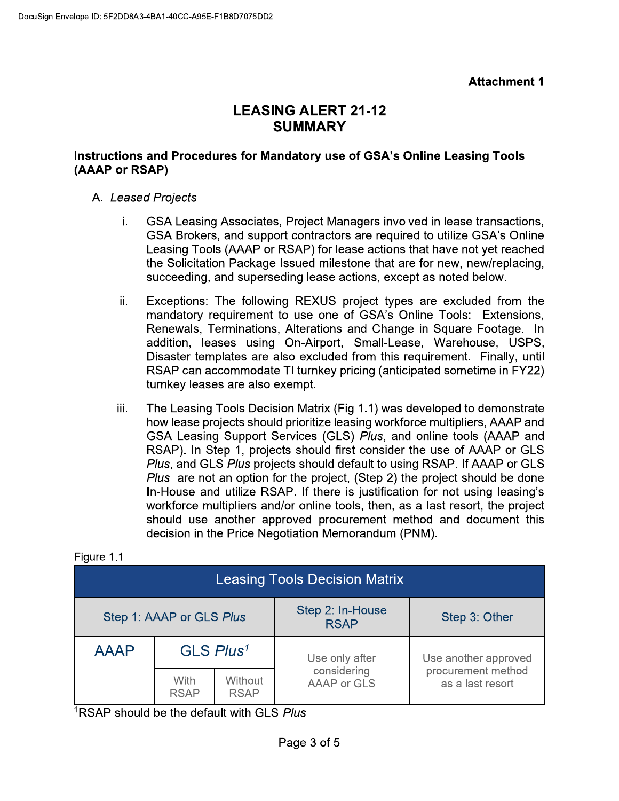# **LEASING ALERT 21-12 SUMMARY**

### Instructions and Procedures for Mandatory use of GSA's Online Leasing Tools (AAAP or RSAP)

## A. Leased Projects

- GSA Leasing Associates, Project Managers involved in lease transactions, i. GSA Brokers, and support contractors are required to utilize GSA's Online Leasing Tools (AAAP or RSAP) for lease actions that have not yet reached the Solicitation Package Issued milestone that are for new, new/replacing, succeeding, and superseding lease actions, except as noted below.
- Exceptions: The following REXUS project types are excluded from the ii. mandatory requirement to use one of GSA's Online Tools: Extensions, Renewals, Terminations, Alterations and Change in Square Footage. In addition, leases using On-Airport, Small-Lease, Warehouse, USPS, Disaster templates are also excluded from this requirement. Finally, until RSAP can accommodate TI turnkey pricing (anticipated sometime in FY22) turnkey leases are also exempt.
- The Leasing Tools Decision Matrix (Fig 1.1) was developed to demonstrate iii. how lease projects should prioritize leasing workforce multipliers, AAAP and GSA Leasing Support Services (GLS) Plus, and online tools (AAAP and RSAP). In Step 1, projects should first consider the use of AAAP or GLS Plus, and GLS Plus projects should default to using RSAP. If AAAP or GLS Plus are not an option for the project, (Step 2) the project should be done In-House and utilize RSAP. If there is justification for not using leasing's workforce multipliers and/or online tools, then, as a last resort, the project should use another approved procurement method and document this decision in the Price Negotiation Memorandum (PNM).

| <b>Leasing Tools Decision Matrix</b> |                       |                               |                                 |                                        |
|--------------------------------------|-----------------------|-------------------------------|---------------------------------|----------------------------------------|
| Step 1: AAAP or GLS Plus             |                       |                               | Step 2: In-House<br><b>RSAP</b> | Step 3: Other                          |
| <b>AAAP</b>                          | GLS Plus <sup>1</sup> |                               | Use only after                  | Use another approved                   |
|                                      | With<br><b>RSAP</b>   | <b>Without</b><br><b>RSAP</b> | considering<br>AAAP or GLS      | procurement method<br>as a last resort |

#### Figure 1.1

<sup>1</sup>RSAP should be the default with GLS Plus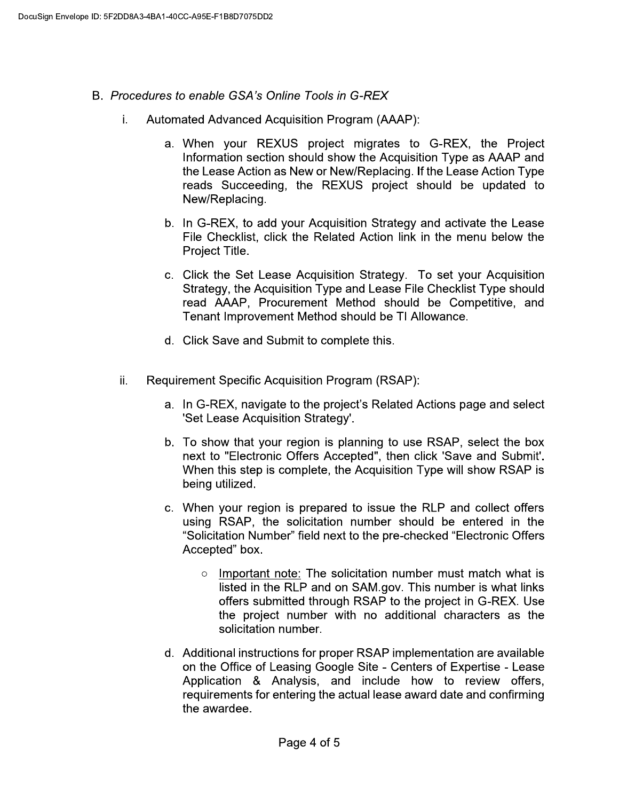- B. Procedures to enable GSA's Online Tools in G-REX
	- **Automated Advanced Acquisition Program (AAAP):** i.
		- a. When your REXUS project migrates to G-REX, the Project Information section should show the Acquisition Type as AAAP and the Lease Action as New or New/Replacing. If the Lease Action Type reads Succeeding, the REXUS project should be updated to New/Replacing.
		- b. In G-REX, to add your Acquisition Strategy and activate the Lease File Checklist, click the Related Action link in the menu below the Project Title.
		- c. Click the Set Lease Acquisition Strategy. To set your Acquisition Strategy, the Acquisition Type and Lease File Checklist Type should read AAAP, Procurement Method should be Competitive, and Tenant Improvement Method should be TI Allowance.
		- d. Click Save and Submit to complete this.
	- Requirement Specific Acquisition Program (RSAP): ii.
		- a. In G-REX, navigate to the project's Related Actions page and select 'Set Lease Acquisition Strategy'.
		- b. To show that your region is planning to use RSAP, select the box next to "Electronic Offers Accepted", then click 'Save and Submit'. When this step is complete, the Acquisition Type will show RSAP is being utilized.
		- c. When your region is prepared to issue the RLP and collect offers using RSAP, the solicitation number should be entered in the "Solicitation Number" field next to the pre-checked "Electronic Offers Accepted" box.
			- o Important note: The solicitation number must match what is listed in the RLP and on SAM.gov. This number is what links offers submitted through RSAP to the project in G-REX. Use the project number with no additional characters as the solicitation number.
		- d. Additional instructions for proper RSAP implementation are available on the Office of Leasing Google Site - Centers of Expertise - Lease Application & Analysis, and include how to review offers, requirements for entering the actual lease award date and confirming the awardee.